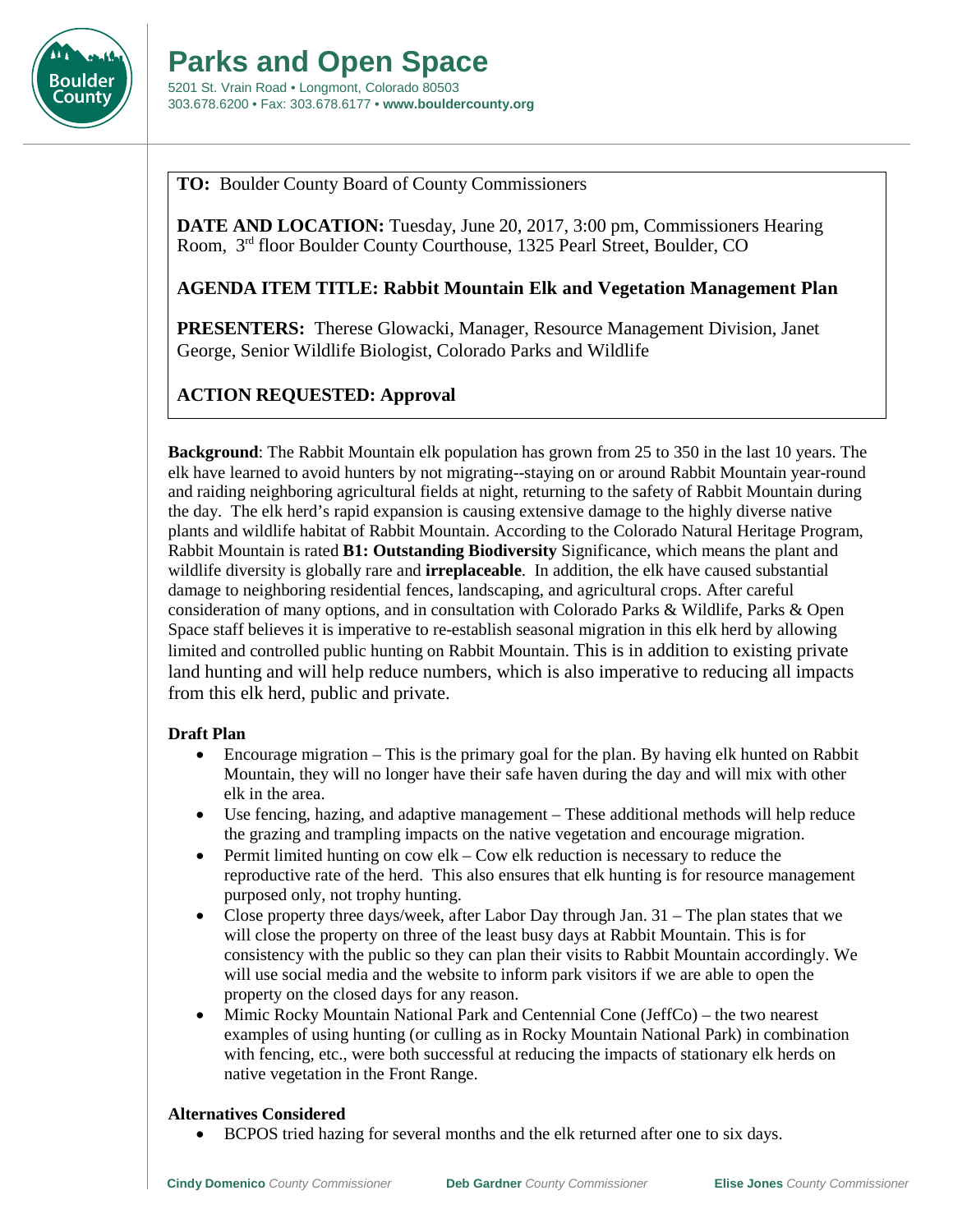

**TO:** Boulder County Board of County Commissioners

**DATE AND LOCATION:** Tuesday, June 20, 2017, 3:00 pm, Commissioners Hearing Room, 3rd floor Boulder County Courthouse, 1325 Pearl Street, Boulder, CO

## **AGENDA ITEM TITLE: Rabbit Mountain Elk and Vegetation Management Plan**

**PRESENTERS:** Therese Glowacki, Manager, Resource Management Division, Janet George, Senior Wildlife Biologist, Colorado Parks and Wildlife

## **ACTION REQUESTED: Approval**

**Background**: The Rabbit Mountain elk population has grown from 25 to 350 in the last 10 years. The elk have learned to avoid hunters by not migrating--staying on or around Rabbit Mountain year-round and raiding neighboring agricultural fields at night, returning to the safety of Rabbit Mountain during the day. The elk herd's rapid expansion is causing extensive damage to the highly diverse native plants and wildlife habitat of Rabbit Mountain. According to the Colorado Natural Heritage Program, Rabbit Mountain is rated **B1: Outstanding Biodiversity** Significance, which means the plant and wildlife diversity is globally rare and **irreplaceable**. In addition, the elk have caused substantial damage to neighboring residential fences, landscaping, and agricultural crops. After careful consideration of many options, and in consultation with Colorado Parks & Wildlife, Parks & Open Space staff believes it is imperative to re-establish seasonal migration in this elk herd by allowing limited and controlled public hunting on Rabbit Mountain. This is in addition to existing private land hunting and will help reduce numbers, which is also imperative to reducing all impacts from this elk herd, public and private.

### **Draft Plan**

- Encourage migration This is the primary goal for the plan. By having elk hunted on Rabbit Mountain, they will no longer have their safe haven during the day and will mix with other elk in the area.
- Use fencing, hazing, and adaptive management These additional methods will help reduce the grazing and trampling impacts on the native vegetation and encourage migration.
- Permit limited hunting on cow elk Cow elk reduction is necessary to reduce the reproductive rate of the herd. This also ensures that elk hunting is for resource management purposed only, not trophy hunting.
- Close property three days/week, after Labor Day through Jan. 31 The plan states that we will close the property on three of the least busy days at Rabbit Mountain. This is for consistency with the public so they can plan their visits to Rabbit Mountain accordingly. We will use social media and the website to inform park visitors if we are able to open the property on the closed days for any reason.
- Mimic Rocky Mountain National Park and Centennial Cone (JeffCo) the two nearest examples of using hunting (or culling as in Rocky Mountain National Park) in combination with fencing, etc., were both successful at reducing the impacts of stationary elk herds on native vegetation in the Front Range.

### **Alternatives Considered**

• BCPOS tried hazing for several months and the elk returned after one to six days.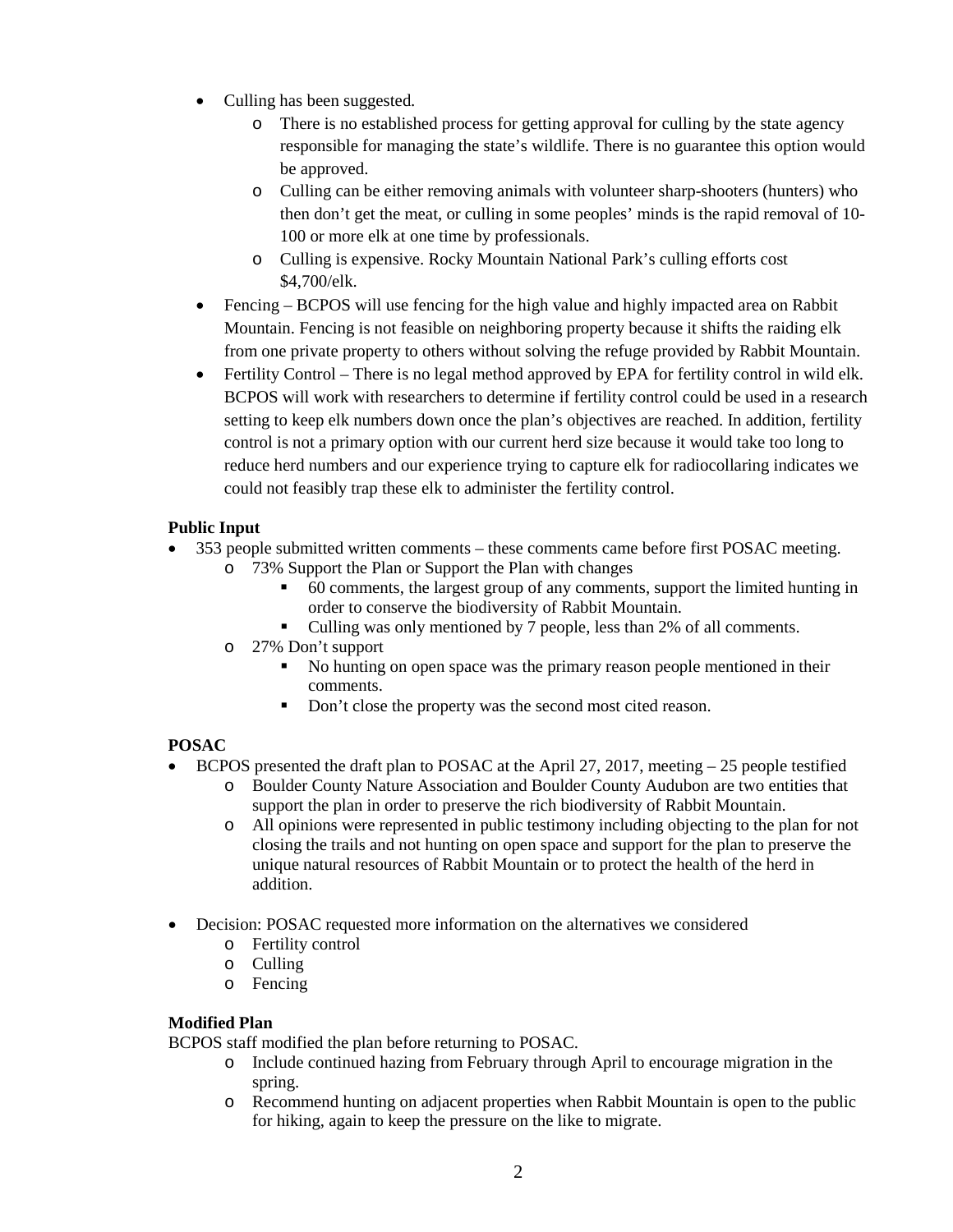- Culling has been suggested.
	- o There is no established process for getting approval for culling by the state agency responsible for managing the state's wildlife. There is no guarantee this option would be approved.
	- o Culling can be either removing animals with volunteer sharp-shooters (hunters) who then don't get the meat, or culling in some peoples' minds is the rapid removal of 10- 100 or more elk at one time by professionals.
	- o Culling is expensive. Rocky Mountain National Park's culling efforts cost \$4,700/elk.
- Fencing BCPOS will use fencing for the high value and highly impacted area on Rabbit Mountain. Fencing is not feasible on neighboring property because it shifts the raiding elk from one private property to others without solving the refuge provided by Rabbit Mountain.
- Fertility Control There is no legal method approved by EPA for fertility control in wild elk. BCPOS will work with researchers to determine if fertility control could be used in a research setting to keep elk numbers down once the plan's objectives are reached. In addition, fertility control is not a primary option with our current herd size because it would take too long to reduce herd numbers and our experience trying to capture elk for radiocollaring indicates we could not feasibly trap these elk to administer the fertility control.

## **Public Input**

- 353 people submitted written comments these comments came before first POSAC meeting.
	- o 73% Support the Plan or Support the Plan with changes
		- 60 comments, the largest group of any comments, support the limited hunting in order to conserve the biodiversity of Rabbit Mountain.
		- Culling was only mentioned by 7 people, less than 2% of all comments.
	- o 27% Don't support
		- No hunting on open space was the primary reason people mentioned in their comments.
		- Don't close the property was the second most cited reason.

# **POSAC**

- BCPOS presented the draft plan to POSAC at the April 27, 2017, meeting  $-25$  people testified
	- o Boulder County Nature Association and Boulder County Audubon are two entities that support the plan in order to preserve the rich biodiversity of Rabbit Mountain.
	- o All opinions were represented in public testimony including objecting to the plan for not closing the trails and not hunting on open space and support for the plan to preserve the unique natural resources of Rabbit Mountain or to protect the health of the herd in addition.
- Decision: POSAC requested more information on the alternatives we considered
	- o Fertility control
	- o Culling
	- o Fencing

## **Modified Plan**

BCPOS staff modified the plan before returning to POSAC.

- o Include continued hazing from February through April to encourage migration in the spring.
- o Recommend hunting on adjacent properties when Rabbit Mountain is open to the public for hiking, again to keep the pressure on the like to migrate.